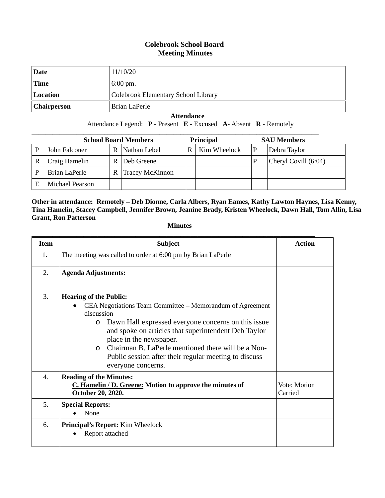#### **Colebrook School Board Meeting Minutes**

| Date               | 11/10/20                            |
|--------------------|-------------------------------------|
| <b>Time</b>        | $6:00 \text{ pm}$ .                 |
| Location           | Colebrook Elementary School Library |
| <b>Chairperson</b> | Brian LaPerle                       |

 **Attendance**

Attendance Legend: **P** - Present **E** - Excused **A**- Absent **R** - Remotely

| <b>School Board Members</b> |                 |   |                        | <b>Principal</b> |              | <b>SAU Members</b>   |
|-----------------------------|-----------------|---|------------------------|------------------|--------------|----------------------|
|                             | John Falconer   | R | Nathan Lebel           |                  | Kim Wheelock | Debra Taylor         |
|                             | Craig Hamelin   | R | Deb Greene             |                  |              | Cheryl Covill (6:04) |
|                             | Brian LaPerle   | R | <b>Tracey McKinnon</b> |                  |              |                      |
|                             | Michael Pearson |   |                        |                  |              |                      |

**Other in attendance: Remotely – Deb Dionne, Carla Albers, Ryan Eames, Kathy Lawton Haynes, Lisa Kenny, Tina Hamelin, Stacey Campbell, Jennifer Brown, Jeanine Brady, Kristen Wheelock, Dawn Hall, Tom Allin, Lisa Grant, Ron Patterson**

**Minutes**

| <b>Item</b> | <b>Subject</b>                                                                                                                                                                                                                                                                                                                                                                                                  | Action                  |
|-------------|-----------------------------------------------------------------------------------------------------------------------------------------------------------------------------------------------------------------------------------------------------------------------------------------------------------------------------------------------------------------------------------------------------------------|-------------------------|
| 1.          | The meeting was called to order at 6:00 pm by Brian LaPerle                                                                                                                                                                                                                                                                                                                                                     |                         |
| 2.          | <b>Agenda Adjustments:</b>                                                                                                                                                                                                                                                                                                                                                                                      |                         |
| 3.          | <b>Hearing of the Public:</b><br>CEA Negotiations Team Committee – Memorandum of Agreement<br>discussion<br>Dawn Hall expressed everyone concerns on this issue.<br>$\circ$<br>and spoke on articles that superintendent Deb Taylor<br>place in the newspaper.<br>Chairman B. LaPerle mentioned there will be a Non-<br>$\Omega$<br>Public session after their regular meeting to discuss<br>everyone concerns. |                         |
| 4.          | <b>Reading of the Minutes:</b><br>C. Hamelin / D. Greene: Motion to approve the minutes of<br>October 20, 2020.                                                                                                                                                                                                                                                                                                 | Vote: Motion<br>Carried |
| 5.          | <b>Special Reports:</b><br>None                                                                                                                                                                                                                                                                                                                                                                                 |                         |
| 6.          | Principal's Report: Kim Wheelock<br>Report attached                                                                                                                                                                                                                                                                                                                                                             |                         |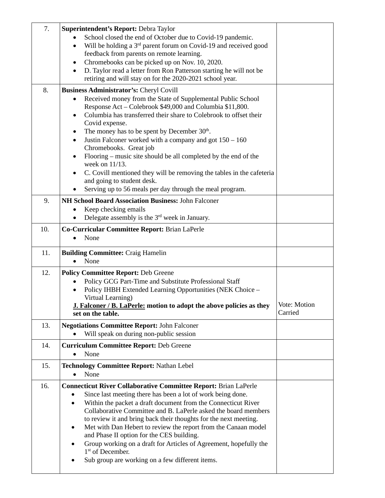| 7.  | Superintendent's Report: Debra Taylor                                                                                                        |                         |
|-----|----------------------------------------------------------------------------------------------------------------------------------------------|-------------------------|
|     | School closed the end of October due to Covid-19 pandemic.                                                                                   |                         |
|     | Will be holding a 3 <sup>rd</sup> parent forum on Covid-19 and received good<br>feedback from parents on remote learning.                    |                         |
|     | Chromebooks can be picked up on Nov. 10, 2020.                                                                                               |                         |
|     | D. Taylor read a letter from Ron Patterson starting he will not be                                                                           |                         |
|     | retiring and will stay on for the 2020-2021 school year.                                                                                     |                         |
| 8.  | Business Administrator's: Cheryl Covill                                                                                                      |                         |
|     | Received money from the State of Supplemental Public School<br>Response Act - Colebrook \$49,000 and Columbia \$11,800.                      |                         |
|     | Columbia has transferred their share to Colebrook to offset their<br>$\bullet$<br>Covid expense.                                             |                         |
|     | The money has to be spent by December 30 <sup>th</sup> .                                                                                     |                         |
|     | Justin Falconer worked with a company and got $150 - 160$<br>Chromebooks. Great job                                                          |                         |
|     | Flooring – music site should be all completed by the end of the<br>week on 11/13.                                                            |                         |
|     | C. Covill mentioned they will be removing the tables in the cafeteria<br>and going to student desk.                                          |                         |
|     | Serving up to 56 meals per day through the meal program.                                                                                     |                         |
| 9.  | NH School Board Association Business: John Falconer                                                                                          |                         |
|     | Keep checking emails<br>Delegate assembly is the $3rd$ week in January.                                                                      |                         |
| 10. | Co-Curricular Committee Report: Brian LaPerle                                                                                                |                         |
|     | None                                                                                                                                         |                         |
| 11. | <b>Building Committee: Craig Hamelin</b><br>None                                                                                             |                         |
|     |                                                                                                                                              |                         |
| 12. | <b>Policy Committee Report: Deb Greene</b>                                                                                                   |                         |
|     | Policy GCG Part-Time and Substitute Professional Staff                                                                                       |                         |
|     | Policy IHBH Extended Learning Opportunities (NEK Choice -                                                                                    |                         |
|     | Virtual Learning)<br>J. Falconer / B. LaPerle: motion to adopt the above policies as they<br>set on the table.                               | Vote: Motion<br>Carried |
| 13. | <b>Negotiations Committee Report: John Falconer</b>                                                                                          |                         |
|     | Will speak on during non-public session                                                                                                      |                         |
| 14. | <b>Curriculum Committee Report: Deb Greene</b><br>None                                                                                       |                         |
| 15. | <b>Technology Committee Report: Nathan Lebel</b>                                                                                             |                         |
|     | None                                                                                                                                         |                         |
| 16. | <b>Connecticut River Collaborative Committee Report: Brian LaPerle</b>                                                                       |                         |
|     | Since last meeting there has been a lot of work being done.<br>٠                                                                             |                         |
|     | Within the packet a draft document from the Connecticut River<br>$\bullet$<br>Collaborative Committee and B. LaPerle asked the board members |                         |
|     | to review it and bring back their thoughts for the next meeting.<br>Met with Dan Hebert to review the report from the Canaan model<br>٠      |                         |
|     | and Phase II option for the CES building.                                                                                                    |                         |
|     | Group working on a draft for Articles of Agreement, hopefully the<br>$\bullet$                                                               |                         |
|     | 1 <sup>st</sup> of December.<br>Sub group are working on a few different items.                                                              |                         |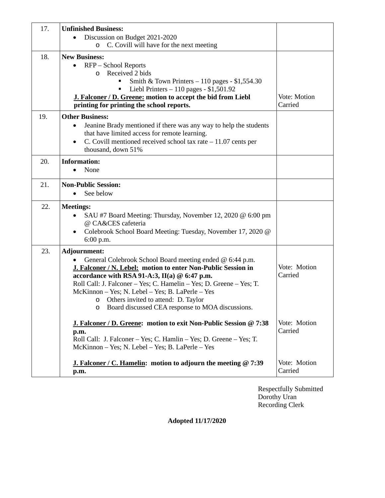| 17. | <b>Unfinished Business:</b>                                                                                                   |                         |
|-----|-------------------------------------------------------------------------------------------------------------------------------|-------------------------|
|     | Discussion on Budget 2021-2020<br>C. Covill will have for the next meeting<br>$\circ$                                         |                         |
| 18. | <b>New Business:</b>                                                                                                          |                         |
|     | RFP – School Reports<br>$\bullet$                                                                                             |                         |
|     | Received 2 bids<br>$\circ$                                                                                                    |                         |
|     | Smith & Town Printers $-110$ pages - \$1,554.30<br>Liebl Printers $-110$ pages - \$1,501.92                                   |                         |
|     | J. Falconer / D. Greene: motion to accept the bid from Liebl                                                                  | Vote: Motion            |
|     | printing for printing the school reports.                                                                                     | Carried                 |
| 19. | <b>Other Business:</b>                                                                                                        |                         |
|     | Jeanine Brady mentioned if there was any way to help the students<br>$\bullet$                                                |                         |
|     | that have limited access for remote learning.<br>C. Covill mentioned received school tax rate $-11.07$ cents per<br>$\bullet$ |                         |
|     | thousand, down 51%                                                                                                            |                         |
| 20. | <b>Information:</b>                                                                                                           |                         |
|     | None                                                                                                                          |                         |
| 21. | <b>Non-Public Session:</b>                                                                                                    |                         |
|     | See below<br>$\bullet$                                                                                                        |                         |
| 22. | <b>Meetings:</b>                                                                                                              |                         |
|     | SAU #7 Board Meeting: Thursday, November 12, 2020 @ 6:00 pm<br>@ CA&CES cafeteria                                             |                         |
|     | Colebrook School Board Meeting: Tuesday, November 17, 2020 @<br>٠                                                             |                         |
|     | 6:00 p.m.                                                                                                                     |                         |
| 23. | Adjournment:                                                                                                                  |                         |
|     | General Colebrook School Board meeting ended @ 6:44 p.m.                                                                      | Vote: Motion            |
|     | J. Falconer / N. Lebel: motion to enter Non-Public Session in<br>accordance with RSA 91-A:3, $II(a)$ @ 6:47 p.m.              | Carried                 |
|     |                                                                                                                               |                         |
|     | Roll Call: J. Falconer - Yes; C. Hamelin - Yes; D. Greene - Yes; T.                                                           |                         |
|     | McKinnon - Yes; N. Lebel - Yes; B. LaPerle - Yes                                                                              |                         |
|     | Others invited to attend: D. Taylor<br>O<br>Board discussed CEA response to MOA discussions.<br>$\circ$                       |                         |
|     |                                                                                                                               |                         |
|     | J. Falconer / D. Greene: motion to exit Non-Public Session @ 7:38                                                             | Vote: Motion            |
|     | p.m.<br>Roll Call: J. Falconer - Yes; C. Hamlin - Yes; D. Greene - Yes; T.                                                    | Carried                 |
|     | McKinnon - Yes; N. Lebel - Yes; B. LaPerle - Yes                                                                              |                         |
|     | <b>J. Falconer / C. Hamelin:</b> motion to adjourn the meeting $@ 7:39$<br>p.m.                                               | Vote: Motion<br>Carried |

Respectfully Submitted Dorothy Uran Recording Clerk

**Adopted 11/17/2020**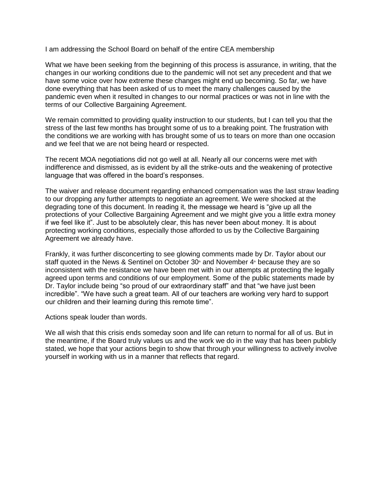I am addressing the School Board on behalf of the entire CEA membership

What we have been seeking from the beginning of this process is assurance, in writing, that the changes in our working conditions due to the pandemic will not set any precedent and that we have some voice over how extreme these changes might end up becoming. So far, we have done everything that has been asked of us to meet the many challenges caused by the pandemic even when it resulted in changes to our normal practices or was not in line with the terms of our Collective Bargaining Agreement.

We remain committed to providing quality instruction to our students, but I can tell you that the stress of the last few months has brought some of us to a breaking point. The frustration with the conditions we are working with has brought some of us to tears on more than one occasion and we feel that we are not being heard or respected.

The recent MOA negotiations did not go well at all. Nearly all our concerns were met with indifference and dismissed, as is evident by all the strike-outs and the weakening of protective language that was offered in the board's responses.

The waiver and release document regarding enhanced compensation was the last straw leading to our dropping any further attempts to negotiate an agreement. We were shocked at the degrading tone of this document. In reading it, the message we heard is "give up all the protections of your Collective Bargaining Agreement and we might give you a little extra money if we feel like it". Just to be absolutely clear, this has never been about money. It is about protecting working conditions, especially those afforded to us by the Collective Bargaining Agreement we already have.

Frankly, it was further disconcerting to see glowing comments made by Dr. Taylor about our staff quoted in the News & Sentinel on October 30<sup>th</sup> and November  $4<sup>*</sup>$  because they are so inconsistent with the resistance we have been met with in our attempts at protecting the legally agreed upon terms and conditions of our employment. Some of the public statements made by Dr. Taylor include being "so proud of our extraordinary staff" and that "we have just been incredible". "We have such a great team. All of our teachers are working very hard to support our children and their learning during this remote time".

Actions speak louder than words.

We all wish that this crisis ends someday soon and life can return to normal for all of us. But in the meantime, if the Board truly values us and the work we do in the way that has been publicly stated, we hope that your actions begin to show that through your willingness to actively involve yourself in working with us in a manner that reflects that regard.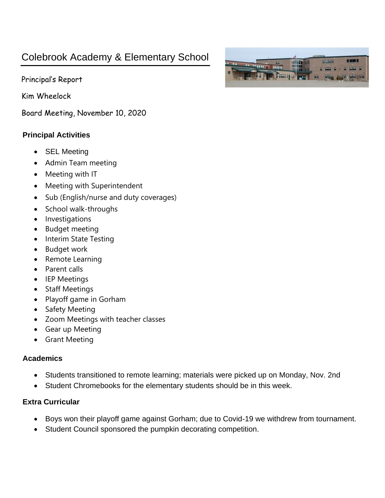# Colebrook Academy & Elementary School

Principal's Report

Kim Wheelock

Board Meeting, November 10, 2020

# **Principal Activities**

- SEL Meeting
- Admin Team meeting
- Meeting with IT
- Meeting with Superintendent
- Sub (English/nurse and duty coverages)
- School walk-throughs
- Investigations
- Budget meeting
- Interim State Testing
- Budget work
- Remote Learning
- Parent calls
- IEP Meetings
- Staff Meetings
- Playoff game in Gorham
- Safety Meeting
- Zoom Meetings with teacher classes
- Gear up Meeting
- Grant Meeting

### **Academics**

- Students transitioned to remote learning; materials were picked up on Monday, Nov. 2nd
- Student Chromebooks for the elementary students should be in this week.

## **Extra Curricular**

- Boys won their playoff game against Gorham; due to Covid-19 we withdrew from tournament.
- Student Council sponsored the pumpkin decorating competition.